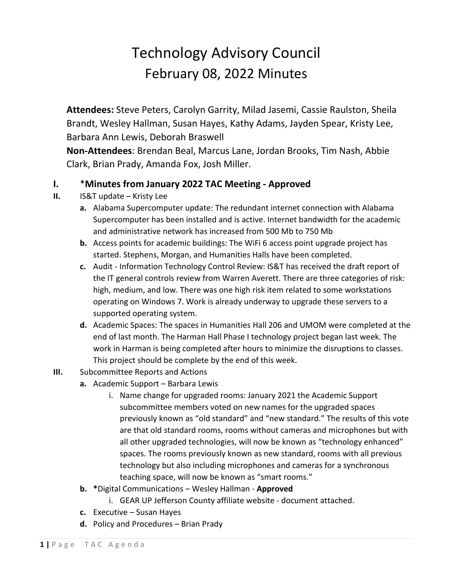## Technology Advisory Council February 08, 2022 Minutes

**Attendees:** Steve Peters, Carolyn Garrity, Milad Jasemi, Cassie Raulston, Sheila Brandt, Wesley Hallman, Susan Hayes, Kathy Adams, Jayden Spear, Kristy Lee, Barbara Ann Lewis, Deborah Braswell

**Non-Attendees**: Brendan Beal, Marcus Lane, Jordan Brooks, Tim Nash, Abbie Clark, Brian Prady, Amanda Fox, Josh Miller.

## **I.** \***Minutes from January 2022 TAC Meeting - Approved**

- **II.** IS&T update Kristy Lee
	- **a.** Alabama Supercomputer update: The redundant internet connection with Alabama Supercomputer has been installed and is active. Internet bandwidth for the academic and administrative network has increased from 500 Mb to 750 Mb
	- **b.** Access points for academic buildings: The WiFi 6 access point upgrade project has started. Stephens, Morgan, and Humanities Halls have been completed.
	- **c.** Audit Information Technology Control Review: IS&T has received the draft report of the IT general controls review from Warren Averett. There are three categories of risk: high, medium, and low. There was one high risk item related to some workstations operating on Windows 7. Work is already underway to upgrade these servers to a supported operating system.
	- **d.** Academic Spaces: The spaces in Humanities Hall 206 and UMOM were completed at the end of last month. The Harman Hall Phase I technology project began last week. The work in Harman is being completed after hours to minimize the disruptions to classes. This project should be complete by the end of this week.
- **III.** Subcommittee Reports and Actions
	- **a.** Academic Support Barbara Lewis
		- i. Name change for upgraded rooms: January 2021 the Academic Support subcommittee members voted on new names for the upgraded spaces previously known as "old standard" and "new standard." The results of this vote are that old standard rooms, rooms without cameras and microphones but with all other upgraded technologies, will now be known as "technology enhanced" spaces. The rooms previously known as new standard, rooms with all previous technology but also including microphones and cameras for a synchronous teaching space, will now be known as "smart rooms."
	- **b. \***Digital Communications Wesley Hallman **Approved**
		- i. GEAR UP Jefferson County affiliate website document attached.
	- **c.** Executive Susan Hayes
	- **d.** Policy and Procedures Brian Prady